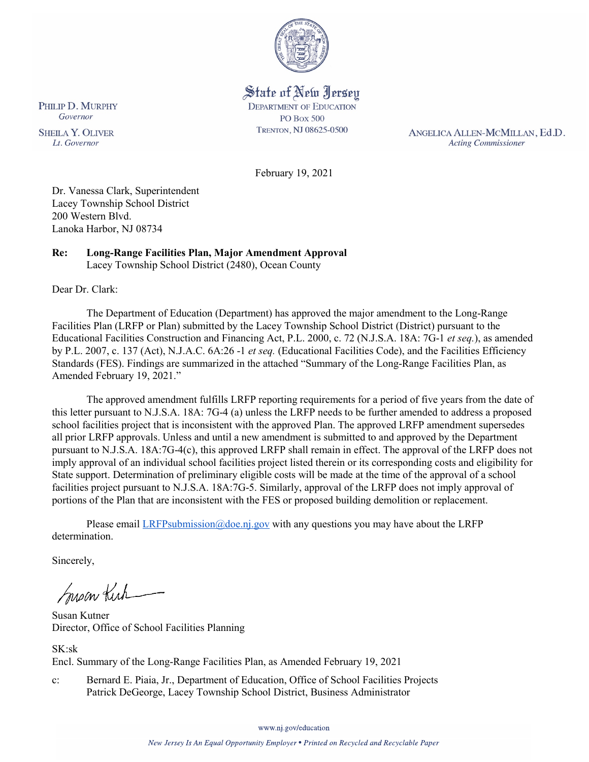

State of New Jersey **DEPARTMENT OF EDUCATION PO Box 500** TRENTON, NJ 08625-0500

ANGELICA ALLEN-MCMILLAN, Ed.D. **Acting Commissioner** 

February 19, 2021

Dr. Vanessa Clark, Superintendent Lacey Township School District 200 Western Blvd. Lanoka Harbor, NJ 08734

#### **Re: Long-Range Facilities Plan, Major Amendment Approval**  Lacey Township School District (2480), Ocean County

Dear Dr. Clark:

The Department of Education (Department) has approved the major amendment to the Long-Range Facilities Plan (LRFP or Plan) submitted by the Lacey Township School District (District) pursuant to the Educational Facilities Construction and Financing Act, P.L. 2000, c. 72 (N.J.S.A. 18A: 7G-1 *et seq.*), as amended by P.L. 2007, c. 137 (Act), N.J.A.C. 6A:26 -1 *et seq.* (Educational Facilities Code), and the Facilities Efficiency Standards (FES). Findings are summarized in the attached "Summary of the Long-Range Facilities Plan, as Amended February 19, 2021."

The approved amendment fulfills LRFP reporting requirements for a period of five years from the date of this letter pursuant to N.J.S.A. 18A: 7G-4 (a) unless the LRFP needs to be further amended to address a proposed school facilities project that is inconsistent with the approved Plan. The approved LRFP amendment supersedes all prior LRFP approvals. Unless and until a new amendment is submitted to and approved by the Department pursuant to N.J.S.A. 18A:7G-4(c), this approved LRFP shall remain in effect. The approval of the LRFP does not imply approval of an individual school facilities project listed therein or its corresponding costs and eligibility for State support. Determination of preliminary eligible costs will be made at the time of the approval of a school facilities project pursuant to N.J.S.A. 18A:7G-5. Similarly, approval of the LRFP does not imply approval of portions of the Plan that are inconsistent with the FES or proposed building demolition or replacement.

Please email  $LRFP submission@doe.nj.gov$  with any questions you may have about the LRFP determination.

Sincerely,

Susan Kich

Susan Kutner Director, Office of School Facilities Planning

SK:sk Encl. Summary of the Long-Range Facilities Plan, as Amended February 19, 2021

c: Bernard E. Piaia, Jr., Department of Education, Office of School Facilities Projects Patrick DeGeorge, Lacey Township School District, Business Administrator

www.nj.gov/education

PHILIP D. MURPHY Governor

**SHEILA Y. OLIVER** Lt. Governor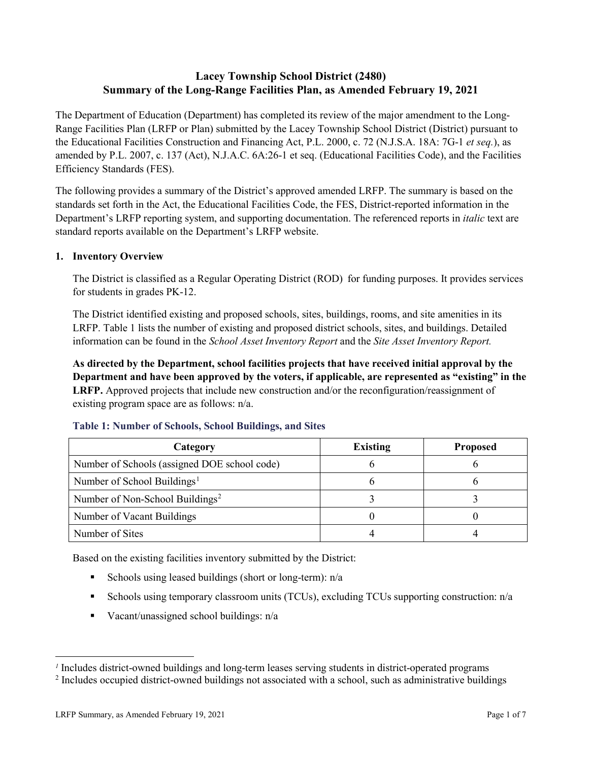# **Lacey Township School District (2480) Summary of the Long-Range Facilities Plan, as Amended February 19, 2021**

The Department of Education (Department) has completed its review of the major amendment to the Long-Range Facilities Plan (LRFP or Plan) submitted by the Lacey Township School District (District) pursuant to the Educational Facilities Construction and Financing Act, P.L. 2000, c. 72 (N.J.S.A. 18A: 7G-1 *et seq.*), as amended by P.L. 2007, c. 137 (Act), N.J.A.C. 6A:26-1 et seq. (Educational Facilities Code), and the Facilities Efficiency Standards (FES).

The following provides a summary of the District's approved amended LRFP. The summary is based on the standards set forth in the Act, the Educational Facilities Code, the FES, District-reported information in the Department's LRFP reporting system, and supporting documentation. The referenced reports in *italic* text are standard reports available on the Department's LRFP website.

## **1. Inventory Overview**

The District is classified as a Regular Operating District (ROD) for funding purposes. It provides services for students in grades PK-12.

The District identified existing and proposed schools, sites, buildings, rooms, and site amenities in its LRFP. Table 1 lists the number of existing and proposed district schools, sites, and buildings. Detailed information can be found in the *School Asset Inventory Report* and the *Site Asset Inventory Report.*

**As directed by the Department, school facilities projects that have received initial approval by the Department and have been approved by the voters, if applicable, are represented as "existing" in the LRFP.** Approved projects that include new construction and/or the reconfiguration/reassignment of existing program space are as follows: n/a.

| Category                                     | <b>Existing</b> | <b>Proposed</b> |
|----------------------------------------------|-----------------|-----------------|
| Number of Schools (assigned DOE school code) |                 |                 |
| Number of School Buildings <sup>1</sup>      |                 |                 |
| Number of Non-School Buildings <sup>2</sup>  |                 |                 |
| Number of Vacant Buildings                   |                 |                 |
| Number of Sites                              |                 |                 |

#### **Table 1: Number of Schools, School Buildings, and Sites**

Based on the existing facilities inventory submitted by the District:

- Schools using leased buildings (short or long-term):  $n/a$
- Schools using temporary classroom units (TCUs), excluding TCUs supporting construction: n/a
- Vacant/unassigned school buildings:  $n/a$

 $\overline{a}$ 

<span id="page-1-1"></span><span id="page-1-0"></span>*<sup>1</sup>* Includes district-owned buildings and long-term leases serving students in district-operated programs

<sup>&</sup>lt;sup>2</sup> Includes occupied district-owned buildings not associated with a school, such as administrative buildings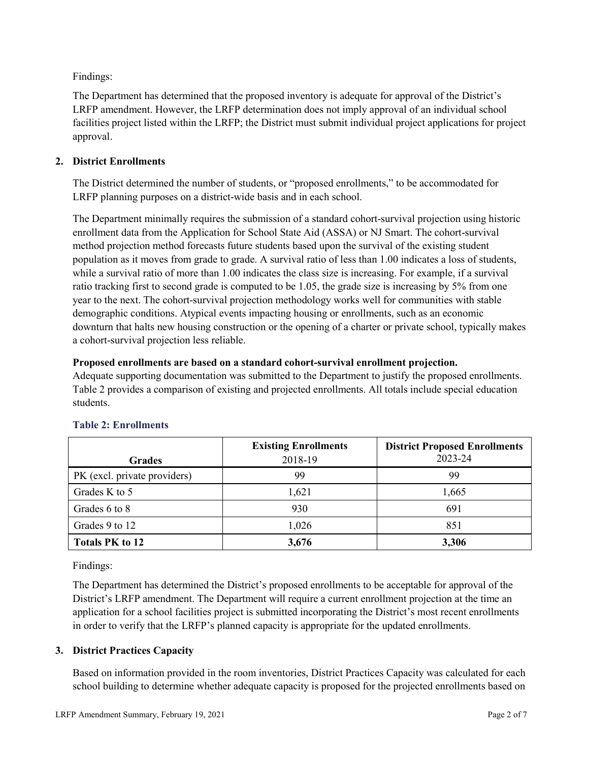Findings:

The Department has determined that the proposed inventory is adequate for approval of the District's LRFP amendment. However, the LRFP determination does not imply approval of an individual school facilities project listed within the LRFP; the District must submit individual project applications for project approval.

## **2. District Enrollments**

The District determined the number of students, or "proposed enrollments," to be accommodated for LRFP planning purposes on a district-wide basis and in each school.

The Department minimally requires the submission of a standard cohort-survival projection using historic enrollment data from the Application for School State Aid (ASSA) or NJ Smart. The cohort-survival method projection method forecasts future students based upon the survival of the existing student population as it moves from grade to grade. A survival ratio of less than 1.00 indicates a loss of students, while a survival ratio of more than 1.00 indicates the class size is increasing. For example, if a survival ratio tracking first to second grade is computed to be 1.05, the grade size is increasing by 5% from one year to the next. The cohort-survival projection methodology works well for communities with stable demographic conditions. Atypical events impacting housing or enrollments, such as an economic downturn that halts new housing construction or the opening of a charter or private school, typically makes a cohort-survival projection less reliable.

## **Proposed enrollments are based on a standard cohort-survival enrollment projection.**

Adequate supporting documentation was submitted to the Department to justify the proposed enrollments. Table 2 provides a comparison of existing and projected enrollments. All totals include special education students.

|                              | <b>Existing Enrollments</b> | <b>District Proposed Enrollments</b> |
|------------------------------|-----------------------------|--------------------------------------|
| <b>Grades</b>                | 2018-19                     | 2023-24                              |
| PK (excl. private providers) | 99                          | 99                                   |
| Grades K to 5                | 1,621                       | 1,665                                |
| Grades 6 to 8                | 930                         | 691                                  |
| Grades 9 to 12               | 1,026                       | 851                                  |
| <b>Totals PK to 12</b>       | 3,676                       | 3,306                                |

# **Table 2: Enrollments**

Findings:

The Department has determined the District's proposed enrollments to be acceptable for approval of the District's LRFP amendment. The Department will require a current enrollment projection at the time an application for a school facilities project is submitted incorporating the District's most recent enrollments in order to verify that the LRFP's planned capacity is appropriate for the updated enrollments.

# **3. District Practices Capacity**

Based on information provided in the room inventories, District Practices Capacity was calculated for each school building to determine whether adequate capacity is proposed for the projected enrollments based on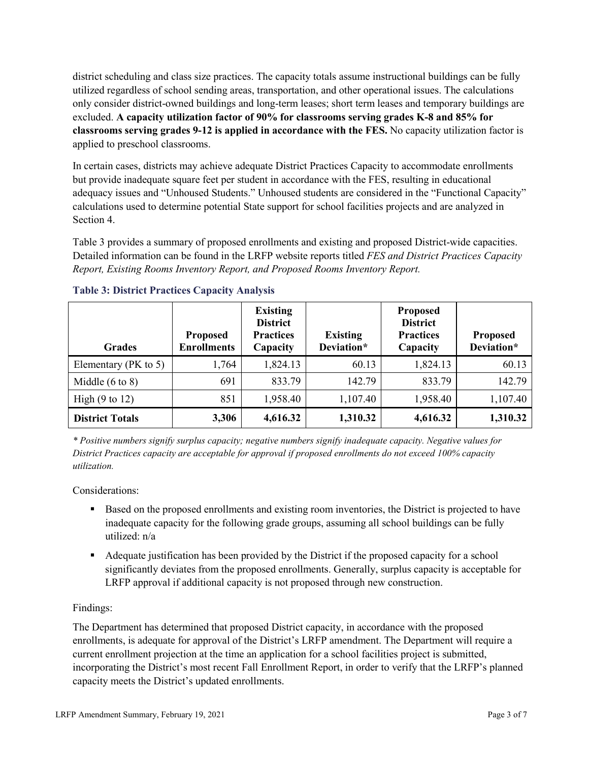district scheduling and class size practices. The capacity totals assume instructional buildings can be fully utilized regardless of school sending areas, transportation, and other operational issues. The calculations only consider district-owned buildings and long-term leases; short term leases and temporary buildings are excluded. **A capacity utilization factor of 90% for classrooms serving grades K-8 and 85% for classrooms serving grades 9-12 is applied in accordance with the FES.** No capacity utilization factor is applied to preschool classrooms.

In certain cases, districts may achieve adequate District Practices Capacity to accommodate enrollments but provide inadequate square feet per student in accordance with the FES, resulting in educational adequacy issues and "Unhoused Students." Unhoused students are considered in the "Functional Capacity" calculations used to determine potential State support for school facilities projects and are analyzed in Section 4.

Table 3 provides a summary of proposed enrollments and existing and proposed District-wide capacities. Detailed information can be found in the LRFP website reports titled *FES and District Practices Capacity Report, Existing Rooms Inventory Report, and Proposed Rooms Inventory Report.*

| <b>Grades</b>              | <b>Proposed</b><br><b>Enrollments</b> | <b>Existing</b><br><b>District</b><br><b>Practices</b><br>Capacity | <b>Existing</b><br>Deviation* | <b>Proposed</b><br><b>District</b><br><b>Practices</b><br>Capacity | <b>Proposed</b><br>Deviation* |
|----------------------------|---------------------------------------|--------------------------------------------------------------------|-------------------------------|--------------------------------------------------------------------|-------------------------------|
| Elementary ( $PK$ to 5)    | 1,764                                 | 1,824.13                                                           | 60.13                         | 1,824.13                                                           | 60.13                         |
| Middle $(6 \text{ to } 8)$ | 691                                   | 833.79                                                             | 142.79                        | 833.79                                                             | 142.79                        |
| High $(9 \text{ to } 12)$  | 851                                   | 1,958.40                                                           | 1,107.40                      | 1,958.40                                                           | 1,107.40                      |
| <b>District Totals</b>     | 3,306                                 | 4,616.32                                                           | 1,310.32                      | 4,616.32                                                           | 1,310.32                      |

## **Table 3: District Practices Capacity Analysis**

*\* Positive numbers signify surplus capacity; negative numbers signify inadequate capacity. Negative values for District Practices capacity are acceptable for approval if proposed enrollments do not exceed 100% capacity utilization.*

Considerations:

- Based on the proposed enrollments and existing room inventories, the District is projected to have inadequate capacity for the following grade groups, assuming all school buildings can be fully utilized: n/a
- Adequate justification has been provided by the District if the proposed capacity for a school significantly deviates from the proposed enrollments. Generally, surplus capacity is acceptable for LRFP approval if additional capacity is not proposed through new construction.

## Findings:

The Department has determined that proposed District capacity, in accordance with the proposed enrollments, is adequate for approval of the District's LRFP amendment. The Department will require a current enrollment projection at the time an application for a school facilities project is submitted, incorporating the District's most recent Fall Enrollment Report, in order to verify that the LRFP's planned capacity meets the District's updated enrollments.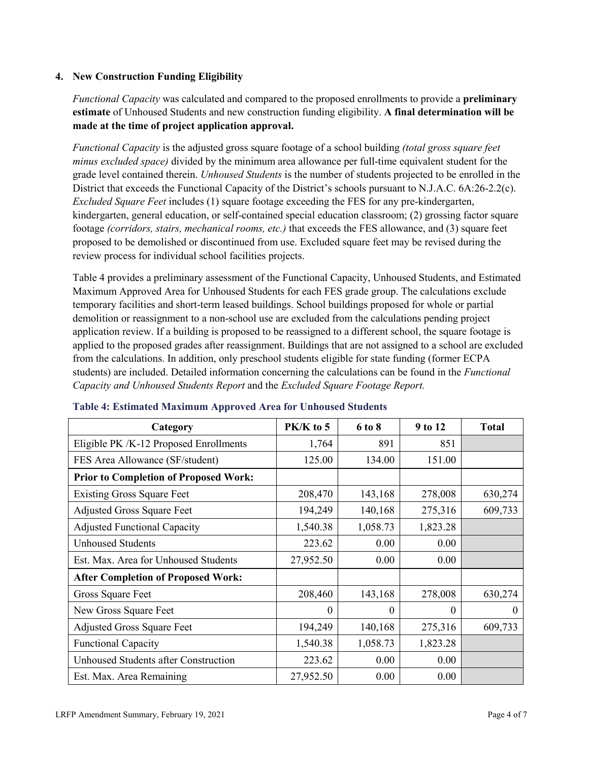#### **4. New Construction Funding Eligibility**

*Functional Capacity* was calculated and compared to the proposed enrollments to provide a **preliminary estimate** of Unhoused Students and new construction funding eligibility. **A final determination will be made at the time of project application approval.**

*Functional Capacity* is the adjusted gross square footage of a school building *(total gross square feet minus excluded space)* divided by the minimum area allowance per full-time equivalent student for the grade level contained therein. *Unhoused Students* is the number of students projected to be enrolled in the District that exceeds the Functional Capacity of the District's schools pursuant to N.J.A.C. 6A:26-2.2(c). *Excluded Square Feet* includes (1) square footage exceeding the FES for any pre-kindergarten, kindergarten, general education, or self-contained special education classroom; (2) grossing factor square footage *(corridors, stairs, mechanical rooms, etc.)* that exceeds the FES allowance, and (3) square feet proposed to be demolished or discontinued from use. Excluded square feet may be revised during the review process for individual school facilities projects.

Table 4 provides a preliminary assessment of the Functional Capacity, Unhoused Students, and Estimated Maximum Approved Area for Unhoused Students for each FES grade group. The calculations exclude temporary facilities and short-term leased buildings. School buildings proposed for whole or partial demolition or reassignment to a non-school use are excluded from the calculations pending project application review. If a building is proposed to be reassigned to a different school, the square footage is applied to the proposed grades after reassignment. Buildings that are not assigned to a school are excluded from the calculations. In addition, only preschool students eligible for state funding (former ECPA students) are included. Detailed information concerning the calculations can be found in the *Functional Capacity and Unhoused Students Report* and the *Excluded Square Footage Report.*

| Category                                     | $PK/K$ to 5 | 6 to 8   | 9 to 12  | <b>Total</b> |
|----------------------------------------------|-------------|----------|----------|--------------|
| Eligible PK /K-12 Proposed Enrollments       | 1,764       | 891      | 851      |              |
| FES Area Allowance (SF/student)              | 125.00      | 134.00   | 151.00   |              |
| <b>Prior to Completion of Proposed Work:</b> |             |          |          |              |
| <b>Existing Gross Square Feet</b>            | 208,470     | 143,168  | 278,008  | 630,274      |
| <b>Adjusted Gross Square Feet</b>            | 194,249     | 140,168  | 275,316  | 609,733      |
| <b>Adjusted Functional Capacity</b>          | 1,540.38    | 1,058.73 | 1,823.28 |              |
| <b>Unhoused Students</b>                     | 223.62      | 0.00     | 0.00     |              |
| Est. Max. Area for Unhoused Students         | 27,952.50   | 0.00     | 0.00     |              |
| <b>After Completion of Proposed Work:</b>    |             |          |          |              |
| Gross Square Feet                            | 208,460     | 143,168  | 278,008  | 630,274      |
| New Gross Square Feet                        | $\theta$    | 0        | $\theta$ | $\theta$     |
| <b>Adjusted Gross Square Feet</b>            | 194,249     | 140,168  | 275,316  | 609,733      |
| <b>Functional Capacity</b>                   | 1,540.38    | 1,058.73 | 1,823.28 |              |
| <b>Unhoused Students after Construction</b>  | 223.62      | 0.00     | 0.00     |              |
| Est. Max. Area Remaining                     | 27,952.50   | 0.00     | 0.00     |              |

#### **Table 4: Estimated Maximum Approved Area for Unhoused Students**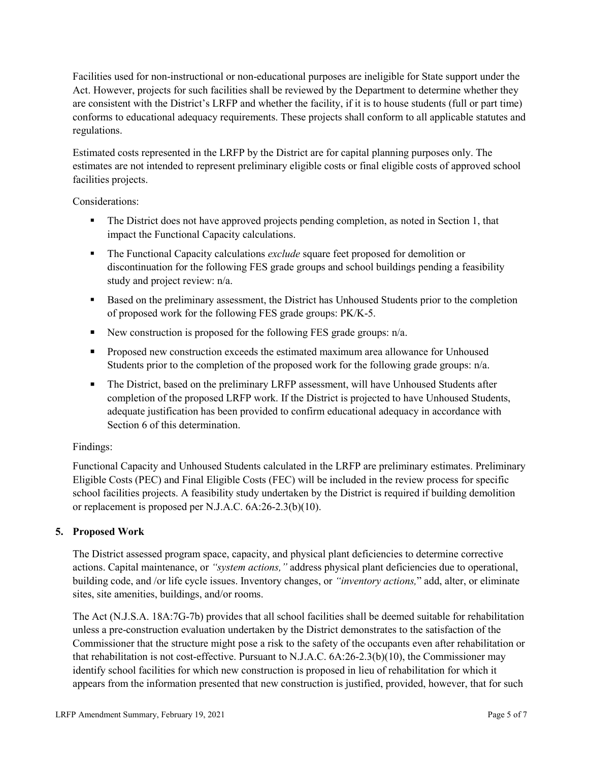Facilities used for non-instructional or non-educational purposes are ineligible for State support under the Act. However, projects for such facilities shall be reviewed by the Department to determine whether they are consistent with the District's LRFP and whether the facility, if it is to house students (full or part time) conforms to educational adequacy requirements. These projects shall conform to all applicable statutes and regulations.

Estimated costs represented in the LRFP by the District are for capital planning purposes only. The estimates are not intended to represent preliminary eligible costs or final eligible costs of approved school facilities projects.

Considerations:

- The District does not have approved projects pending completion, as noted in Section 1, that impact the Functional Capacity calculations.
- **The Functional Capacity calculations** *exclude* square feet proposed for demolition or discontinuation for the following FES grade groups and school buildings pending a feasibility study and project review: n/a.
- Based on the preliminary assessment, the District has Unhoused Students prior to the completion of proposed work for the following FES grade groups: PK/K-5.
- New construction is proposed for the following FES grade groups: n/a.
- Proposed new construction exceeds the estimated maximum area allowance for Unhoused Students prior to the completion of the proposed work for the following grade groups: n/a.
- The District, based on the preliminary LRFP assessment, will have Unhoused Students after completion of the proposed LRFP work. If the District is projected to have Unhoused Students, adequate justification has been provided to confirm educational adequacy in accordance with Section 6 of this determination.

## Findings:

Functional Capacity and Unhoused Students calculated in the LRFP are preliminary estimates. Preliminary Eligible Costs (PEC) and Final Eligible Costs (FEC) will be included in the review process for specific school facilities projects. A feasibility study undertaken by the District is required if building demolition or replacement is proposed per N.J.A.C. 6A:26-2.3(b)(10).

## **5. Proposed Work**

The District assessed program space, capacity, and physical plant deficiencies to determine corrective actions. Capital maintenance, or *"system actions,"* address physical plant deficiencies due to operational, building code, and /or life cycle issues. Inventory changes, or *"inventory actions,*" add, alter, or eliminate sites, site amenities, buildings, and/or rooms.

The Act (N.J.S.A. 18A:7G-7b) provides that all school facilities shall be deemed suitable for rehabilitation unless a pre-construction evaluation undertaken by the District demonstrates to the satisfaction of the Commissioner that the structure might pose a risk to the safety of the occupants even after rehabilitation or that rehabilitation is not cost-effective. Pursuant to N.J.A.C. 6A:26-2.3(b)(10), the Commissioner may identify school facilities for which new construction is proposed in lieu of rehabilitation for which it appears from the information presented that new construction is justified, provided, however, that for such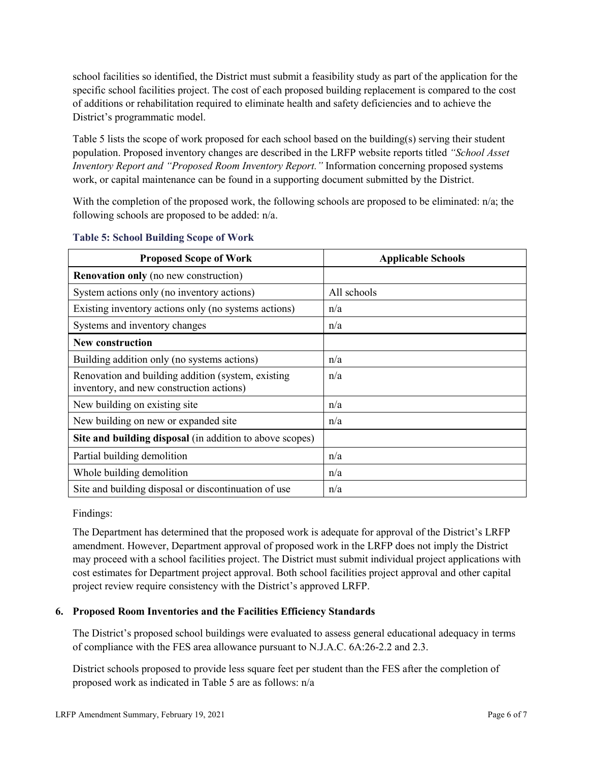school facilities so identified, the District must submit a feasibility study as part of the application for the specific school facilities project. The cost of each proposed building replacement is compared to the cost of additions or rehabilitation required to eliminate health and safety deficiencies and to achieve the District's programmatic model.

Table 5 lists the scope of work proposed for each school based on the building(s) serving their student population. Proposed inventory changes are described in the LRFP website reports titled *"School Asset Inventory Report and "Proposed Room Inventory Report."* Information concerning proposed systems work, or capital maintenance can be found in a supporting document submitted by the District.

With the completion of the proposed work, the following schools are proposed to be eliminated:  $n/a$ ; the following schools are proposed to be added: n/a.

| <b>Proposed Scope of Work</b>                                                                  | <b>Applicable Schools</b> |
|------------------------------------------------------------------------------------------------|---------------------------|
| <b>Renovation only</b> (no new construction)                                                   |                           |
| System actions only (no inventory actions)                                                     | All schools               |
| Existing inventory actions only (no systems actions)                                           | n/a                       |
| Systems and inventory changes                                                                  | n/a                       |
| <b>New construction</b>                                                                        |                           |
| Building addition only (no systems actions)                                                    | n/a                       |
| Renovation and building addition (system, existing<br>inventory, and new construction actions) | n/a                       |
| New building on existing site                                                                  | n/a                       |
| New building on new or expanded site                                                           | n/a                       |
| Site and building disposal (in addition to above scopes)                                       |                           |
| Partial building demolition                                                                    | n/a                       |
| Whole building demolition                                                                      | n/a                       |
| Site and building disposal or discontinuation of use                                           | n/a                       |

#### **Table 5: School Building Scope of Work**

Findings:

The Department has determined that the proposed work is adequate for approval of the District's LRFP amendment. However, Department approval of proposed work in the LRFP does not imply the District may proceed with a school facilities project. The District must submit individual project applications with cost estimates for Department project approval. Both school facilities project approval and other capital project review require consistency with the District's approved LRFP.

## **6. Proposed Room Inventories and the Facilities Efficiency Standards**

The District's proposed school buildings were evaluated to assess general educational adequacy in terms of compliance with the FES area allowance pursuant to N.J.A.C. 6A:26-2.2 and 2.3.

District schools proposed to provide less square feet per student than the FES after the completion of proposed work as indicated in Table 5 are as follows: n/a